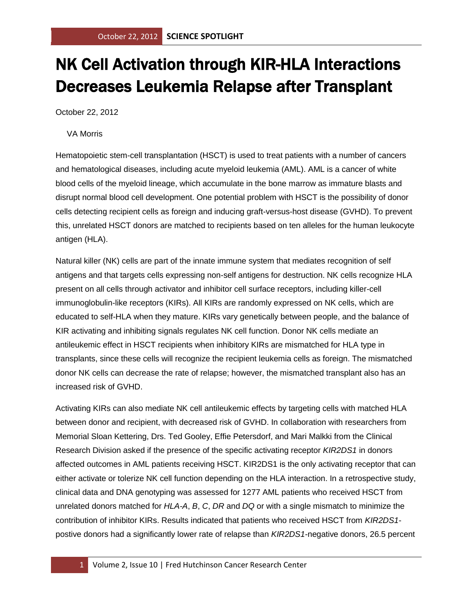## NK Cell Activation through KIR-HLA Interactions Decreases Leukemia Relapse after Transplant

October 22, 2012

VA Morris

Hematopoietic stem-cell transplantation (HSCT) is used to treat patients with a number of cancers and hematological diseases, including acute myeloid leukemia (AML). AML is a cancer of white blood cells of the myeloid lineage, which accumulate in the bone marrow as immature blasts and disrupt normal blood cell development. One potential problem with HSCT is the possibility of donor cells detecting recipient cells as foreign and inducing graft-versus-host disease (GVHD). To prevent this, unrelated HSCT donors are matched to recipients based on ten alleles for the human leukocyte antigen (HLA).

Natural killer (NK) cells are part of the innate immune system that mediates recognition of self antigens and that targets cells expressing non-self antigens for destruction. NK cells recognize HLA present on all cells through activator and inhibitor cell surface receptors, including killer-cell immunoglobulin-like receptors (KIRs). All KIRs are randomly expressed on NK cells, which are educated to self-HLA when they mature. KIRs vary genetically between people, and the balance of KIR activating and inhibiting signals regulates NK cell function. Donor NK cells mediate an antileukemic effect in HSCT recipients when inhibitory KIRs are mismatched for HLA type in transplants, since these cells will recognize the recipient leukemia cells as foreign. The mismatched donor NK cells can decrease the rate of relapse; however, the mismatched transplant also has an increased risk of GVHD.

Activating KIRs can also mediate NK cell antileukemic effects by targeting cells with matched HLA between donor and recipient, with decreased risk of GVHD. In collaboration with researchers from Memorial Sloan Kettering, Drs. Ted Gooley, Effie Petersdorf, and Mari Malkki from the Clinical Research Division asked if the presence of the specific activating receptor *KIR2DS1* in donors affected outcomes in AML patients receiving HSCT. KIR2DS1 is the only activating receptor that can either activate or tolerize NK cell function depending on the HLA interaction. In a retrospective study, clinical data and DNA genotyping was assessed for 1277 AML patients who received HSCT from unrelated donors matched for *HLA-A*, *B*, *C*, *DR* and *DQ* or with a single mismatch to minimize the contribution of inhibitor KIRs. Results indicated that patients who received HSCT from *KIR2DS1* postive donors had a significantly lower rate of relapse than *KIR2DS1*-negative donors, 26.5 percent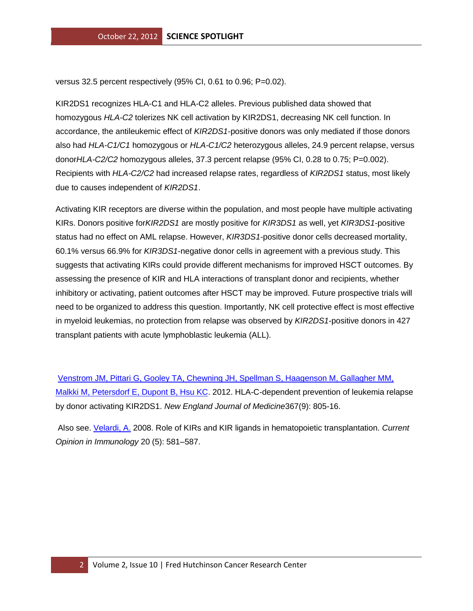versus 32.5 percent respectively (95% CI, 0.61 to 0.96; P=0.02).

KIR2DS1 recognizes HLA-C1 and HLA-C2 alleles. Previous published data showed that homozygous *HLA-C2* tolerizes NK cell activation by KIR2DS1, decreasing NK cell function. In accordance, the antileukemic effect of *KIR2DS1*-positive donors was only mediated if those donors also had *HLA-C1/C1* homozygous or *HLA-C1/C2* heterozygous alleles, 24.9 percent relapse, versus donor*HLA-C2/C2* homozygous alleles, 37.3 percent relapse (95% CI, 0.28 to 0.75; P=0.002). Recipients with *HLA-C2/C2* had increased relapse rates, regardless of *KIR2DS1* status, most likely due to causes independent of *KIR2DS1*.

Activating KIR receptors are diverse within the population, and most people have multiple activating KIRs. Donors positive for*KIR2DS1* are mostly positive for *KIR3DS1* as well, yet *KIR3DS1*-positive status had no effect on AML relapse. However, *KIR3DS1*-positive donor cells decreased mortality, 60.1% versus 66.9% for *KIR3DS1*-negative donor cells in agreement with a previous study. This suggests that activating KIRs could provide different mechanisms for improved HSCT outcomes. By assessing the presence of KIR and HLA interactions of transplant donor and recipients, whether inhibitory or activating, patient outcomes after HSCT may be improved. Future prospective trials will need to be organized to address this question. Importantly, NK cell protective effect is most effective in myeloid leukemias, no protection from relapse was observed by *KIR2DS1*-positive donors in 427 transplant patients with acute lymphoblastic leukemia (ALL).

[Venstrom JM, Pittari G, Gooley TA, Chewning JH, Spellman S, Haagenson M, Gallagher MM,](http://www.ncbi.nlm.nih.gov/pubmed/22931314?otool=fhcrclib)  [Malkki M, Petersdorf E, Dupont B, Hsu KC.](http://www.ncbi.nlm.nih.gov/pubmed/22931314?otool=fhcrclib) 2012. HLA-C-dependent prevention of leukemia relapse by donor activating KIR2DS1. *New England Journal of Medicine*367(9): 805-16.

Also see. [Velardi, A.](http://www.ncbi.nlm.nih.gov/pubmed/18675345?otool=fhcrclib) 2008. Role of KIRs and KIR ligands in hematopoietic transplantation. *Current Opinion in Immunology* 20 (5): 581–587.